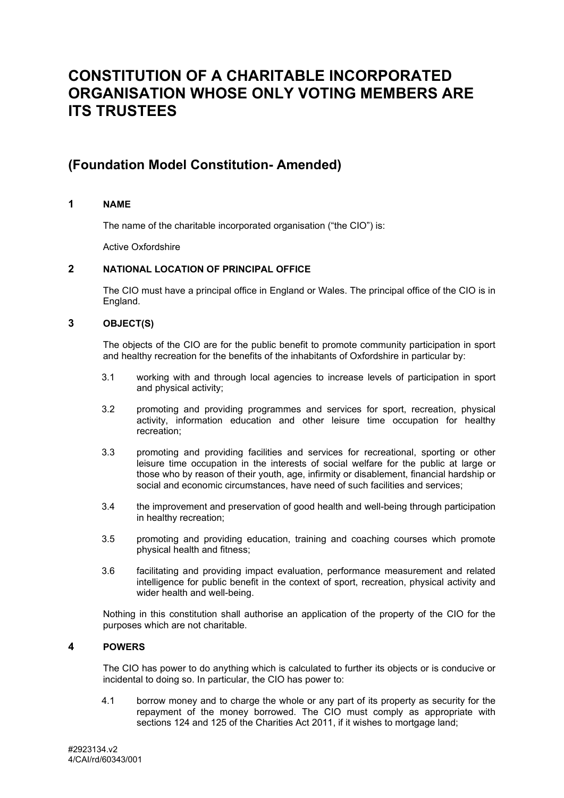# **CONSTITUTION OF A CHARITABLE INCORPORATED ORGANISATION WHOSE ONLY VOTING MEMBERS ARE ITS TRUSTEES**

## **(Foundation Model Constitution- Amended)**

## **1 NAME**

The name of the charitable incorporated organisation ("the CIO") is:

Active Oxfordshire

## **2 NATIONAL LOCATION OF PRINCIPAL OFFICE**

The CIO must have a principal office in England or Wales. The principal office of the CIO is in England.

## **3 OBJECT(S)**

The objects of the CIO are for the public benefit to promote community participation in sport and healthy recreation for the benefits of the inhabitants of Oxfordshire in particular by:

- 3.1 working with and through local agencies to increase levels of participation in sport and physical activity;
- 3.2 promoting and providing programmes and services for sport, recreation, physical activity, information education and other leisure time occupation for healthy recreation;
- 3.3 promoting and providing facilities and services for recreational, sporting or other leisure time occupation in the interests of social welfare for the public at large or those who by reason of their youth, age, infirmity or disablement, financial hardship or social and economic circumstances, have need of such facilities and services;
- 3.4 the improvement and preservation of good health and well-being through participation in healthy recreation;
- 3.5 promoting and providing education, training and coaching courses which promote physical health and fitness;
- 3.6 facilitating and providing impact evaluation, performance measurement and related intelligence for public benefit in the context of sport, recreation, physical activity and wider health and well-being.

Nothing in this constitution shall authorise an application of the property of the CIO for the purposes which are not charitable.

## **4 POWERS**

The CIO has power to do anything which is calculated to further its objects or is conducive or incidental to doing so. In particular, the CIO has power to:

4.1 borrow money and to charge the whole or any part of its property as security for the repayment of the money borrowed. The CIO must comply as appropriate with sections 124 and 125 of the Charities Act 2011, if it wishes to mortgage land;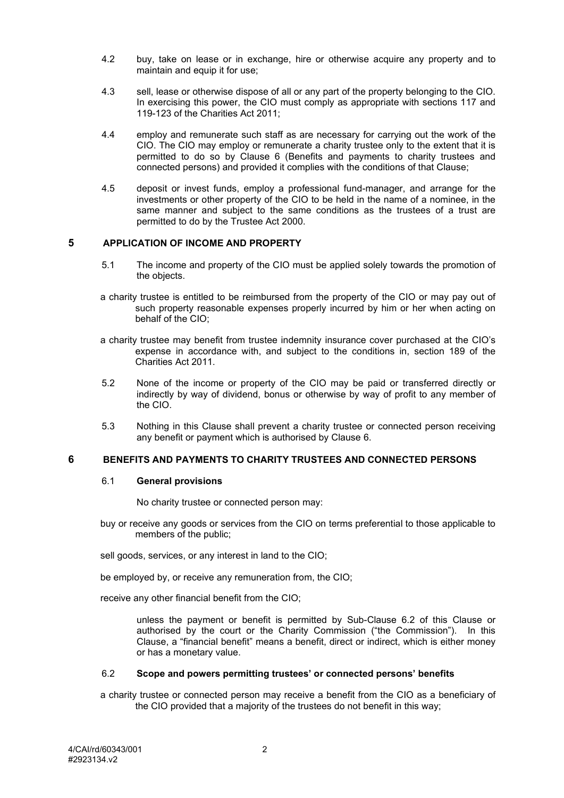- 4.2 buy, take on lease or in exchange, hire or otherwise acquire any property and to maintain and equip it for use:
- 4.3 sell, lease or otherwise dispose of all or any part of the property belonging to the CIO. In exercising this power, the CIO must comply as appropriate with sections 117 and 119-123 of the Charities Act 2011;
- 4.4 employ and remunerate such staff as are necessary for carrying out the work of the CIO. The CIO may employ or remunerate a charity trustee only to the extent that it is permitted to do so by Clause [6](#page-1-0) (Benefits and payments to charity trustees and connected persons) and provided it complies with the conditions of that Clause;
- 4.5 deposit or invest funds, employ a professional fund-manager, and arrange for the investments or other property of the CIO to be held in the name of a nominee, in the same manner and subject to the same conditions as the trustees of a trust are permitted to do by the Trustee Act 2000.

## **5 APPLICATION OF INCOME AND PROPERTY**

- 5.1 The income and property of the CIO must be applied solely towards the promotion of the objects.
- a charity trustee is entitled to be reimbursed from the property of the CIO or may pay out of such property reasonable expenses properly incurred by him or her when acting on behalf of the CIO;
- a charity trustee may benefit from trustee indemnity insurance cover purchased at the CIO's expense in accordance with, and subject to the conditions in, section 189 of the Charities Act 2011.
- 5.2 None of the income or property of the CIO may be paid or transferred directly or indirectly by way of dividend, bonus or otherwise by way of profit to any member of the CIO.
- 5.3 Nothing in this Clause shall prevent a charity trustee or connected person receiving any benefit or payment which is authorised by Clause [6.](#page-1-0)

## <span id="page-1-0"></span>**6 BENEFITS AND PAYMENTS TO CHARITY TRUSTEES AND CONNECTED PERSONS**

#### 6.1 **General provisions**

No charity trustee or connected person may:

buy or receive any goods or services from the CIO on terms preferential to those applicable to members of the public;

sell goods, services, or any interest in land to the CIO;

be employed by, or receive any remuneration from, the CIO;

receive any other financial benefit from the CIO;

unless the payment or benefit is permitted by Sub-Clause [6.2](#page-1-1) of this Clause or authorised by the court or the Charity Commission ("the Commission"). In this Clause, a "financial benefit" means a benefit, direct or indirect, which is either money or has a monetary value.

#### <span id="page-1-1"></span>6.2 **Scope and powers permitting trustees' or connected persons' benefits**

a charity trustee or connected person may receive a benefit from the CIO as a beneficiary of the CIO provided that a majority of the trustees do not benefit in this way;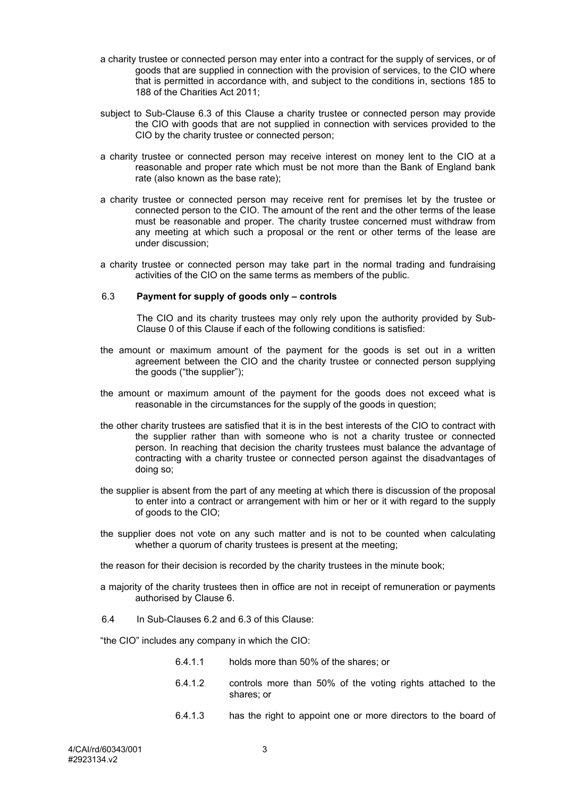- a charity trustee or connected person may enter into a contract for the supply of services, or of goods that are supplied in connection with the provision of services, to the CIO where that is permitted in accordance with, and subject to the conditions in, sections 185 to 188 of the Charities Act 2011;
- <span id="page-2-1"></span>subject to Sub-Clause [6.3](#page-2-0) of this Clause a charity trustee or connected person may provide the CIO with goods that are not supplied in connection with services provided to the CIO by the charity trustee or connected person;
- a charity trustee or connected person may receive interest on money lent to the CIO at a reasonable and proper rate which must be not more than the Bank of England bank rate (also known as the base rate);
- a charity trustee or connected person may receive rent for premises let by the trustee or connected person to the CIO. The amount of the rent and the other terms of the lease must be reasonable and proper. The charity trustee concerned must withdraw from any meeting at which such a proposal or the rent or other terms of the lease are under discussion;
- a charity trustee or connected person may take part in the normal trading and fundraising activities of the CIO on the same terms as members of the public.

#### <span id="page-2-0"></span>6.3 **Payment for supply of goods only – controls**

The CIO and its charity trustees may only rely upon the authority provided by Sub-Clause [0](#page-2-1) of this Clause if each of the following conditions is satisfied:

- the amount or maximum amount of the payment for the goods is set out in a written agreement between the CIO and the charity trustee or connected person supplying the goods ("the supplier");
- the amount or maximum amount of the payment for the goods does not exceed what is reasonable in the circumstances for the supply of the goods in question;
- the other charity trustees are satisfied that it is in the best interests of the CIO to contract with the supplier rather than with someone who is not a charity trustee or connected person. In reaching that decision the charity trustees must balance the advantage of contracting with a charity trustee or connected person against the disadvantages of doing so;
- the supplier is absent from the part of any meeting at which there is discussion of the proposal to enter into a contract or arrangement with him or her or it with regard to the supply of goods to the CIO;
- the supplier does not vote on any such matter and is not to be counted when calculating whether a quorum of charity trustees is present at the meeting;
- the reason for their decision is recorded by the charity trustees in the minute book;
- a majority of the charity trustees then in office are not in receipt of remuneration or payments authorised by Clause [6.](#page-1-0)
- 6.4 In Sub-Clauses [6.2](#page-1-1) and [6.3](#page-2-0) of this Clause:

"the CIO" includes any company in which the CIO:

- 6.4.1.1 holds more than 50% of the shares; or
- 6.4.1.2 controls more than 50% of the voting rights attached to the shares; or
- 6.4.1.3 has the right to appoint one or more directors to the board of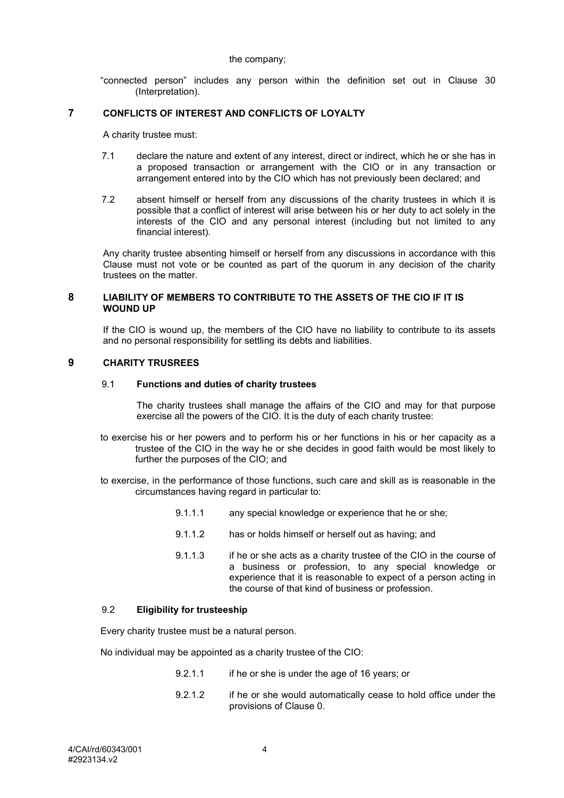#### the company;

"connected person" includes any person within the definition set out in Clause [30](#page-11-0) (Interpretation).

## <span id="page-3-0"></span>**7 CONFLICTS OF INTEREST AND CONFLICTS OF LOYALTY**

A charity trustee must:

- 7.1 declare the nature and extent of any interest, direct or indirect, which he or she has in a proposed transaction or arrangement with the CIO or in any transaction or arrangement entered into by the CIO which has not previously been declared; and
- 7.2 absent himself or herself from any discussions of the charity trustees in which it is possible that a conflict of interest will arise between his or her duty to act solely in the interests of the CIO and any personal interest (including but not limited to any financial interest).

Any charity trustee absenting himself or herself from any discussions in accordance with this Clause must not vote or be counted as part of the quorum in any decision of the charity trustees on the matter.

## **8 LIABILITY OF MEMBERS TO CONTRIBUTE TO THE ASSETS OF THE CIO IF IT IS WOUND UP**

If the CIO is wound up, the members of the CIO have no liability to contribute to its assets and no personal responsibility for settling its debts and liabilities.

#### **9 CHARITY TRUSREES**

#### 9.1 **Functions and duties of charity trustees**

The charity trustees shall manage the affairs of the CIO and may for that purpose exercise all the powers of the CIO. It is the duty of each charity trustee:

- to exercise his or her powers and to perform his or her functions in his or her capacity as a trustee of the CIO in the way he or she decides in good faith would be most likely to further the purposes of the CIO; and
- to exercise, in the performance of those functions, such care and skill as is reasonable in the circumstances having regard in particular to:
	- 9.1.1.1 any special knowledge or experience that he or she;
	- 9.1.1.2 has or holds himself or herself out as having; and
	- 9.1.1.3 if he or she acts as a charity trustee of the CIO in the course of a business or profession, to any special knowledge or experience that it is reasonable to expect of a person acting in the course of that kind of business or profession.

#### 9.2 **Eligibility for trusteeship**

Every charity trustee must be a natural person.

No individual may be appointed as a charity trustee of the CIO:

- 9.2.1.1 if he or she is under the age of 16 years; or
- 9.2.1.2 if he or she would automatically cease to hold office under the provisions of Clause [0.](#page-4-0)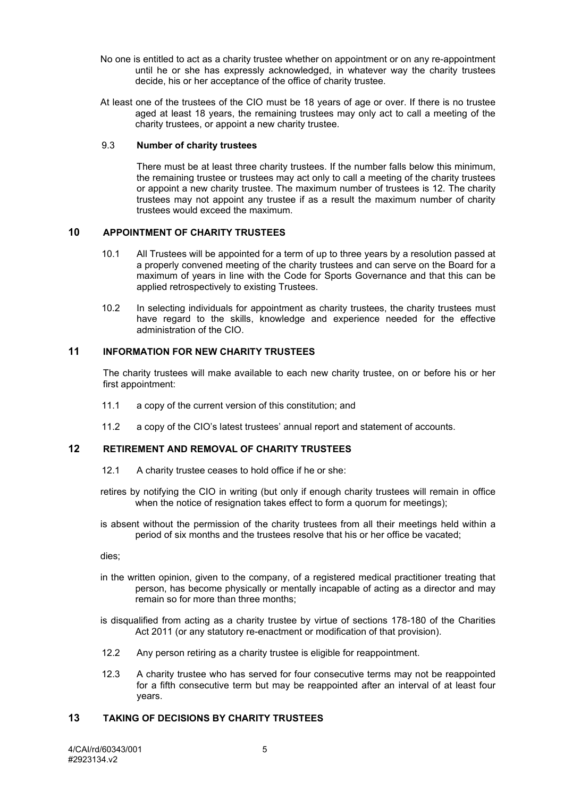- No one is entitled to act as a charity trustee whether on appointment or on any re-appointment until he or she has expressly acknowledged, in whatever way the charity trustees decide, his or her acceptance of the office of charity trustee.
- At least one of the trustees of the CIO must be 18 years of age or over. If there is no trustee aged at least 18 years, the remaining trustees may only act to call a meeting of the charity trustees, or appoint a new charity trustee.

#### 9.3 **Number of charity trustees**

There must be at least three charity trustees. If the number falls below this minimum, the remaining trustee or trustees may act only to call a meeting of the charity trustees or appoint a new charity trustee. The maximum number of trustees is 12. The charity trustees may not appoint any trustee if as a result the maximum number of charity trustees would exceed the maximum.

## **10 APPOINTMENT OF CHARITY TRUSTEES**

- 10.1 All Trustees will be appointed for a term of up to three years by a resolution passed at a properly convened meeting of the charity trustees and can serve on the Board for a maximum of years in line with the Code for Sports Governance and that this can be applied retrospectively to existing Trustees.
- 10.2 In selecting individuals for appointment as charity trustees, the charity trustees must have regard to the skills, knowledge and experience needed for the effective administration of the CIO.

#### **11 INFORMATION FOR NEW CHARITY TRUSTEES**

The charity trustees will make available to each new charity trustee, on or before his or her first appointment:

- 11.1 a copy of the current version of this constitution; and
- 11.2 a copy of the CIO's latest trustees' annual report and statement of accounts.

## **12 RETIREMENT AND REMOVAL OF CHARITY TRUSTEES**

- 12.1 A charity trustee ceases to hold office if he or she:
- retires by notifying the CIO in writing (but only if enough charity trustees will remain in office when the notice of resignation takes effect to form a quorum for meetings);
- is absent without the permission of the charity trustees from all their meetings held within a period of six months and the trustees resolve that his or her office be vacated;

dies;

- in the written opinion, given to the company, of a registered medical practitioner treating that person, has become physically or mentally incapable of acting as a director and may remain so for more than three months;
- <span id="page-4-0"></span>is disqualified from acting as a charity trustee by virtue of sections 178-180 of the Charities Act 2011 (or any statutory re-enactment or modification of that provision).
- 12.2 Any person retiring as a charity trustee is eligible for reappointment.
- 12.3 A charity trustee who has served for four consecutive terms may not be reappointed for a fifth consecutive term but may be reappointed after an interval of at least four years.

## **13 TAKING OF DECISIONS BY CHARITY TRUSTEES**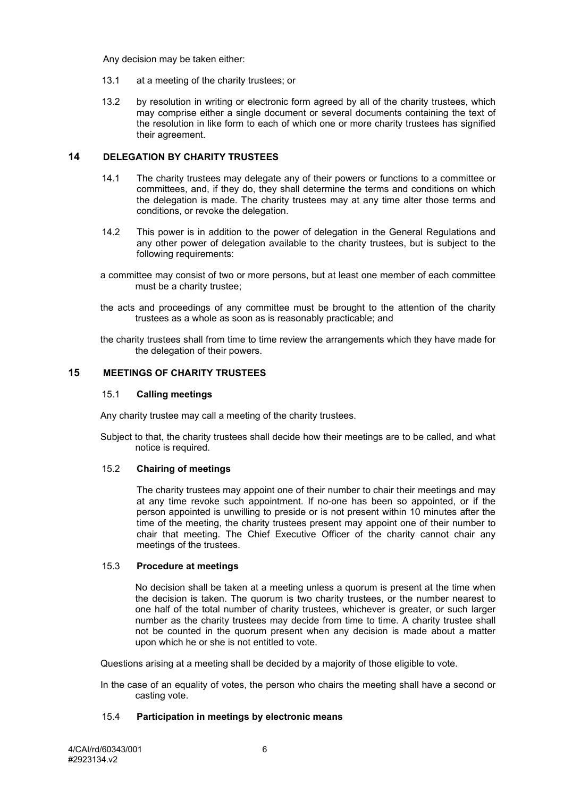Any decision may be taken either:

- 13.1 at a meeting of the charity trustees; or
- 13.2 by resolution in writing or electronic form agreed by all of the charity trustees, which may comprise either a single document or several documents containing the text of the resolution in like form to each of which one or more charity trustees has signified their agreement.

## **14 DELEGATION BY CHARITY TRUSTEES**

- 14.1 The charity trustees may delegate any of their powers or functions to a committee or committees, and, if they do, they shall determine the terms and conditions on which the delegation is made. The charity trustees may at any time alter those terms and conditions, or revoke the delegation.
- 14.2 This power is in addition to the power of delegation in the General Regulations and any other power of delegation available to the charity trustees, but is subject to the following requirements:
- a committee may consist of two or more persons, but at least one member of each committee must be a charity trustee;
- the acts and proceedings of any committee must be brought to the attention of the charity trustees as a whole as soon as is reasonably practicable; and
- the charity trustees shall from time to time review the arrangements which they have made for the delegation of their powers.

## <span id="page-5-2"></span>**15 MEETINGS OF CHARITY TRUSTEES**

#### 15.1 **Calling meetings**

Any charity trustee may call a meeting of the charity trustees.

Subject to that, the charity trustees shall decide how their meetings are to be called, and what notice is required.

## <span id="page-5-0"></span>15.2 **Chairing of meetings**

The charity trustees may appoint one of their number to chair their meetings and may at any time revoke such appointment. If no-one has been so appointed, or if the person appointed is unwilling to preside or is not present within 10 minutes after the time of the meeting, the charity trustees present may appoint one of their number to chair that meeting. The Chief Executive Officer of the charity cannot chair any meetings of the trustees.

#### 15.3 **Procedure at meetings**

No decision shall be taken at a meeting unless a quorum is present at the time when the decision is taken. The quorum is two charity trustees, or the number nearest to one half of the total number of charity trustees, whichever is greater, or such larger number as the charity trustees may decide from time to time. A charity trustee shall not be counted in the quorum present when any decision is made about a matter upon which he or she is not entitled to vote.

Questions arising at a meeting shall be decided by a majority of those eligible to vote.

In the case of an equality of votes, the person who chairs the meeting shall have a second or casting vote.

## <span id="page-5-1"></span>15.4 **Participation in meetings by electronic means**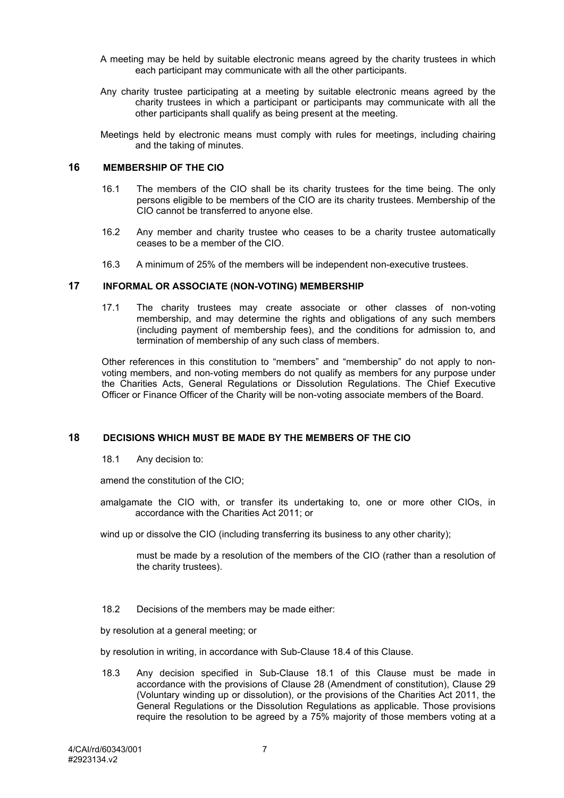- A meeting may be held by suitable electronic means agreed by the charity trustees in which each participant may communicate with all the other participants.
- Any charity trustee participating at a meeting by suitable electronic means agreed by the charity trustees in which a participant or participants may communicate with all the other participants shall qualify as being present at the meeting.

Meetings held by electronic means must comply with rules for meetings, including chairing and the taking of minutes.

#### **16 MEMBERSHIP OF THE CIO**

- 16.1 The members of the CIO shall be its charity trustees for the time being. The only persons eligible to be members of the CIO are its charity trustees. Membership of the CIO cannot be transferred to anyone else.
- 16.2 Any member and charity trustee who ceases to be a charity trustee automatically ceases to be a member of the CIO.
- 16.3 A minimum of 25% of the members will be independent non-executive trustees.

## <span id="page-6-1"></span>**17 INFORMAL OR ASSOCIATE (NON-VOTING) MEMBERSHIP**

17.1 The charity trustees may create associate or other classes of non-voting membership, and may determine the rights and obligations of any such members (including payment of membership fees), and the conditions for admission to, and termination of membership of any such class of members.

Other references in this constitution to "members" and "membership" do not apply to nonvoting members, and non-voting members do not qualify as members for any purpose under the Charities Acts, General Regulations or Dissolution Regulations. The Chief Executive Officer or Finance Officer of the Charity will be non-voting associate members of the Board.

## <span id="page-6-0"></span>**18 DECISIONS WHICH MUST BE MADE BY THE MEMBERS OF THE CIO**

18.1 Any decision to:

amend the constitution of the CIO;

amalgamate the CIO with, or transfer its undertaking to, one or more other CIOs, in accordance with the Charities Act 2011; or

wind up or dissolve the CIO (including transferring its business to any other charity);

must be made by a resolution of the members of the CIO (rather than a resolution of the charity trustees).

18.2 Decisions of the members may be made either:

by resolution at a general meeting; or

by resolution in writing, in accordance with Sub-Clause [18.4](#page-7-0) of this Clause.

18.3 Any decision specified in Sub-Clause [18.1](#page-6-0) of this Clause must be made in accordance with the provisions of Clause [28](#page-10-0) (Amendment of constitution), Clause [29](#page-10-1) (Voluntary winding up or dissolution), or the provisions of the Charities Act 2011, the General Regulations or the Dissolution Regulations as applicable. Those provisions require the resolution to be agreed by a 75% majority of those members voting at a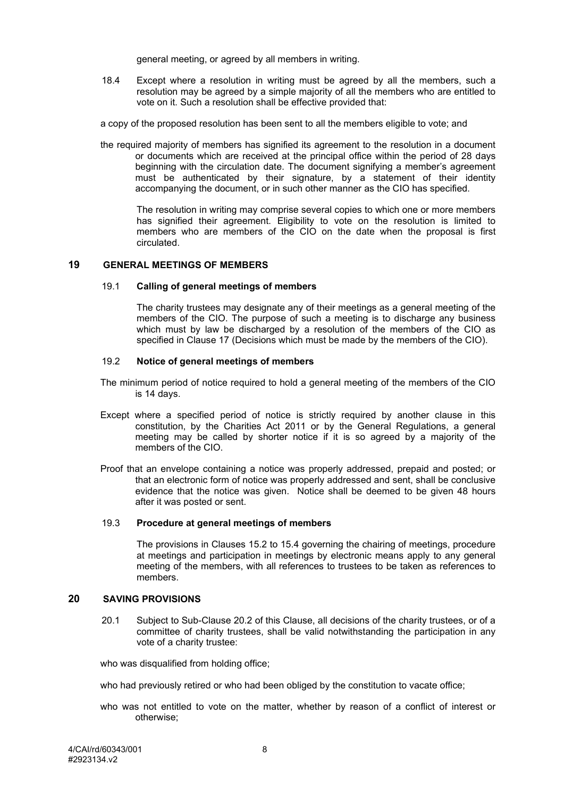general meeting, or agreed by all members in writing.

<span id="page-7-0"></span>18.4 Except where a resolution in writing must be agreed by all the members, such a resolution may be agreed by a simple majority of all the members who are entitled to vote on it. Such a resolution shall be effective provided that:

a copy of the proposed resolution has been sent to all the members eligible to vote; and

the required majority of members has signified its agreement to the resolution in a document or documents which are received at the principal office within the period of 28 days beginning with the circulation date. The document signifying a member's agreement must be authenticated by their signature, by a statement of their identity accompanying the document, or in such other manner as the CIO has specified.

The resolution in writing may comprise several copies to which one or more members has signified their agreement. Eligibility to vote on the resolution is limited to members who are members of the CIO on the date when the proposal is first circulated.

## **19 GENERAL MEETINGS OF MEMBERS**

#### 19.1 **Calling of general meetings of members**

The charity trustees may designate any of their meetings as a general meeting of the members of the CIO. The purpose of such a meeting is to discharge any business which must by law be discharged by a resolution of the members of the CIO as specified in Clause [17](#page-6-1) (Decisions which must be made by the members of the CIO).

### 19.2 **Notice of general meetings of members**

- The minimum period of notice required to hold a general meeting of the members of the CIO is 14 days.
- Except where a specified period of notice is strictly required by another clause in this constitution, by the Charities Act 2011 or by the General Regulations, a general meeting may be called by shorter notice if it is so agreed by a majority of the members of the CIO.
- Proof that an envelope containing a notice was properly addressed, prepaid and posted; or that an electronic form of notice was properly addressed and sent, shall be conclusive evidence that the notice was given. Notice shall be deemed to be given 48 hours after it was posted or sent.

#### 19.3 **Procedure at general meetings of members**

The provisions in Clauses [15.2](#page-5-0) to [15.4](#page-5-1) governing the chairing of meetings, procedure at meetings and participation in meetings by electronic means apply to any general meeting of the members, with all references to trustees to be taken as references to members.

#### <span id="page-7-1"></span>**20 SAVING PROVISIONS**

20.1 Subject to Sub-Clause [20.2](#page-8-0) of this Clause, all decisions of the charity trustees, or of a committee of charity trustees, shall be valid notwithstanding the participation in any vote of a charity trustee:

who was disqualified from holding office;

who had previously retired or who had been obliged by the constitution to vacate office;

who was not entitled to vote on the matter, whether by reason of a conflict of interest or otherwise;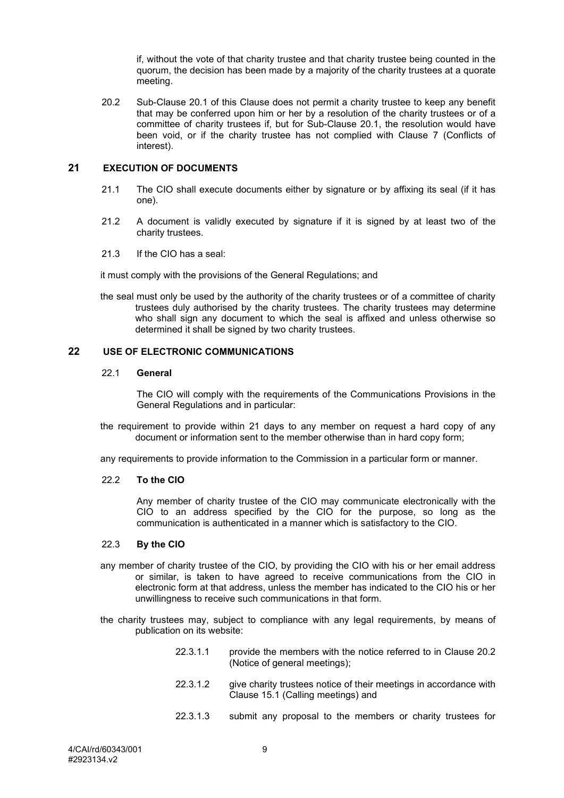if, without the vote of that charity trustee and that charity trustee being counted in the quorum, the decision has been made by a majority of the charity trustees at a quorate meeting.

<span id="page-8-0"></span>20.2 Sub-Clause [20.1](#page-7-1) of this Clause does not permit a charity trustee to keep any benefit that may be conferred upon him or her by a resolution of the charity trustees or of a committee of charity trustees if, but for Sub-Clause [20.1,](#page-7-1) the resolution would have been void, or if the charity trustee has not complied with Clause [7](#page-3-0) (Conflicts of interest).

#### **21 EXECUTION OF DOCUMENTS**

- 21.1 The CIO shall execute documents either by signature or by affixing its seal (if it has one).
- 21.2 A document is validly executed by signature if it is signed by at least two of the charity trustees.
- 21.3 If the CIO has a seal:

it must comply with the provisions of the General Regulations; and

the seal must only be used by the authority of the charity trustees or of a committee of charity trustees duly authorised by the charity trustees. The charity trustees may determine who shall sign any document to which the seal is affixed and unless otherwise so determined it shall be signed by two charity trustees.

## **22 USE OF ELECTRONIC COMMUNICATIONS**

#### 22.1 **General**

The CIO will comply with the requirements of the Communications Provisions in the General Regulations and in particular:

the requirement to provide within 21 days to any member on request a hard copy of any document or information sent to the member otherwise than in hard copy form;

any requirements to provide information to the Commission in a particular form or manner.

#### 22.2 **To the CIO**

Any member of charity trustee of the CIO may communicate electronically with the CIO to an address specified by the CIO for the purpose, so long as the communication is authenticated in a manner which is satisfactory to the CIO.

## 22.3 **By the CIO**

- any member of charity trustee of the CIO, by providing the CIO with his or her email address or similar, is taken to have agreed to receive communications from the CIO in electronic form at that address, unless the member has indicated to the CIO his or her unwillingness to receive such communications in that form.
- the charity trustees may, subject to compliance with any legal requirements, by means of publication on its website:
	- 22.3.1.1 provide the members with the notice referred to in Clause [20.2](#page-8-0) (Notice of general meetings);
	- 22.3.1.2 give charity trustees notice of their meetings in accordance with Clause [15.1](#page-5-2) (Calling meetings) and
	- 22.3.1.3 submit any proposal to the members or charity trustees for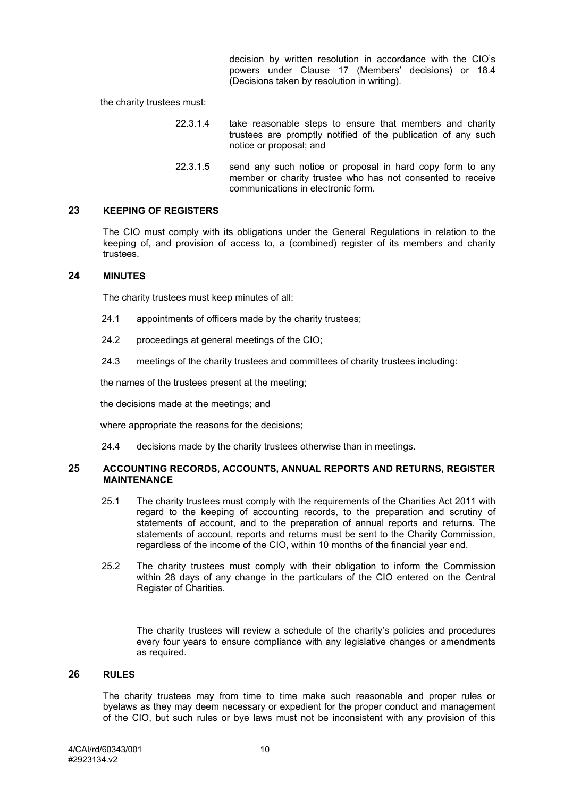decision by written resolution in accordance with the CIO's powers under Clause [17](#page-6-1) (Members' decisions) or [18.4](#page-7-0) (Decisions taken by resolution in writing).

the charity trustees must:

- 22.3.1.4 take reasonable steps to ensure that members and charity trustees are promptly notified of the publication of any such notice or proposal; and
- 22.3.1.5 send any such notice or proposal in hard copy form to any member or charity trustee who has not consented to receive communications in electronic form.

#### **23 KEEPING OF REGISTERS**

The CIO must comply with its obligations under the General Regulations in relation to the keeping of, and provision of access to, a (combined) register of its members and charity trustees.

## **24 MINUTES**

The charity trustees must keep minutes of all:

- 24.1 appointments of officers made by the charity trustees;
- 24.2 proceedings at general meetings of the CIO;
- 24.3 meetings of the charity trustees and committees of charity trustees including:

the names of the trustees present at the meeting;

the decisions made at the meetings; and

where appropriate the reasons for the decisions;

24.4 decisions made by the charity trustees otherwise than in meetings.

#### **25 ACCOUNTING RECORDS, ACCOUNTS, ANNUAL REPORTS AND RETURNS, REGISTER MAINTENANCE**

- 25.1 The charity trustees must comply with the requirements of the Charities Act 2011 with regard to the keeping of accounting records, to the preparation and scrutiny of statements of account, and to the preparation of annual reports and returns. The statements of account, reports and returns must be sent to the Charity Commission, regardless of the income of the CIO, within 10 months of the financial year end.
- 25.2 The charity trustees must comply with their obligation to inform the Commission within 28 days of any change in the particulars of the CIO entered on the Central Register of Charities.

The charity trustees will review a schedule of the charity's policies and procedures every four years to ensure compliance with any legislative changes or amendments as required.

#### **26 RULES**

The charity trustees may from time to time make such reasonable and proper rules or byelaws as they may deem necessary or expedient for the proper conduct and management of the CIO, but such rules or bye laws must not be inconsistent with any provision of this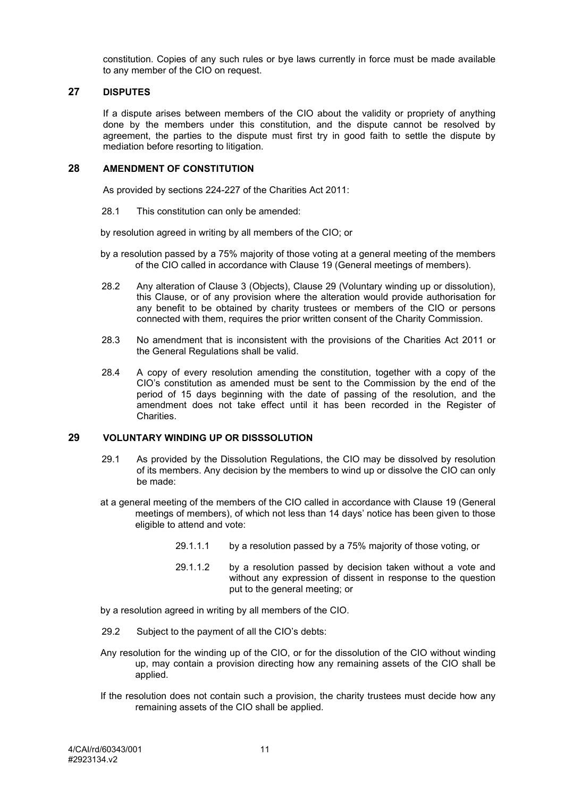constitution. Copies of any such rules or bye laws currently in force must be made available to any member of the CIO on request.

## **27 DISPUTES**

If a dispute arises between members of the CIO about the validity or propriety of anything done by the members under this constitution, and the dispute cannot be resolved by agreement, the parties to the dispute must first try in good faith to settle the dispute by mediation before resorting to litigation.

#### <span id="page-10-0"></span>**28 AMENDMENT OF CONSTITUTION**

As provided by sections 224-227 of the Charities Act 2011:

28.1 This constitution can only be amended:

by resolution agreed in writing by all members of the CIO; or

- by a resolution passed by a 75% majority of those voting at a general meeting of the members of the CIO called in accordance with Clause 19 (General meetings of members).
- 28.2 Any alteration of Clause 3 (Objects), Clause 29 (Voluntary winding up or dissolution), this Clause, or of any provision where the alteration would provide authorisation for any benefit to be obtained by charity trustees or members of the CIO or persons connected with them, requires the prior written consent of the Charity Commission.
- 28.3 No amendment that is inconsistent with the provisions of the Charities Act 2011 or the General Regulations shall be valid.
- 28.4 A copy of every resolution amending the constitution, together with a copy of the CIO's constitution as amended must be sent to the Commission by the end of the period of 15 days beginning with the date of passing of the resolution, and the amendment does not take effect until it has been recorded in the Register of **Charities**

#### <span id="page-10-1"></span>**29 VOLUNTARY WINDING UP OR DISSSOLUTION**

- 29.1 As provided by the Dissolution Regulations, the CIO may be dissolved by resolution of its members. Any decision by the members to wind up or dissolve the CIO can only be made:
- at a general meeting of the members of the CIO called in accordance with Clause 19 (General meetings of members), of which not less than 14 days' notice has been given to those eligible to attend and vote:
	- 29.1.1.1 by a resolution passed by a 75% majority of those voting, or
	- 29.1.1.2 by a resolution passed by decision taken without a vote and without any expression of dissent in response to the question put to the general meeting; or

by a resolution agreed in writing by all members of the CIO.

- 29.2 Subject to the payment of all the CIO's debts:
- Any resolution for the winding up of the CIO, or for the dissolution of the CIO without winding up, may contain a provision directing how any remaining assets of the CIO shall be applied.
- If the resolution does not contain such a provision, the charity trustees must decide how any remaining assets of the CIO shall be applied.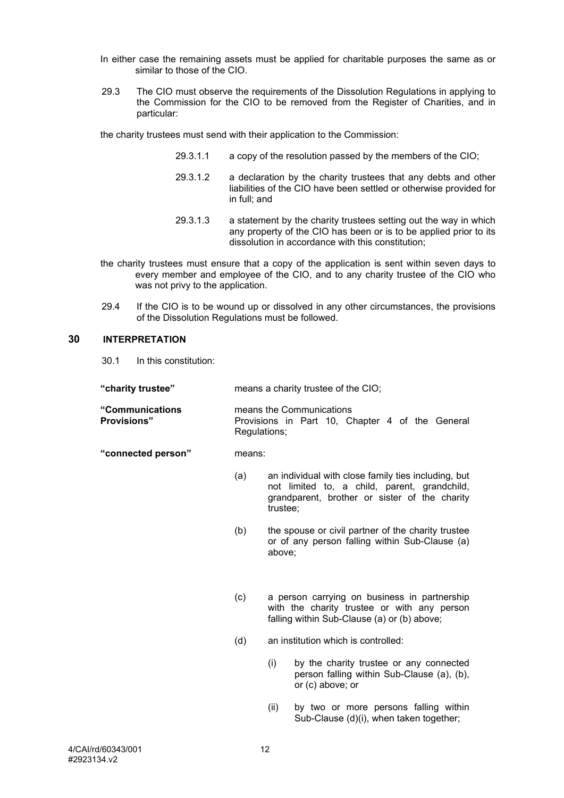- In either case the remaining assets must be applied for charitable purposes the same as or similar to those of the CIO.
- 29.3 The CIO must observe the requirements of the Dissolution Regulations in applying to the Commission for the CIO to be removed from the Register of Charities, and in particular:

the charity trustees must send with their application to the Commission:

- 29.3.1.1 a copy of the resolution passed by the members of the CIO;
- 29.3.1.2 a declaration by the charity trustees that any debts and other liabilities of the CIO have been settled or otherwise provided for in full; and
- 29.3.1.3 a statement by the charity trustees setting out the way in which any property of the CIO has been or is to be applied prior to its dissolution in accordance with this constitution;
- the charity trustees must ensure that a copy of the application is sent within seven days to every member and employee of the CIO, and to any charity trustee of the CIO who was not privy to the application.
- 29.4 If the CIO is to be wound up or dissolved in any other circumstances, the provisions of the Dissolution Regulations must be followed.

## <span id="page-11-0"></span>**30 INTERPRETATION**

30.1 In this constitution:

| "charity trustee" | means a charity trustee of the CIO; |
|-------------------|-------------------------------------|
|-------------------|-------------------------------------|

**"Communications Provisions"** means the Communications Provisions in Part 10, Chapter 4 of the General Regulations;

#### **"connected person"** means:

- (a) an individual with close family ties including, but not limited to, a child, parent, grandchild, grandparent, brother or sister of the charity trustee;
- (b) the spouse or civil partner of the charity trustee or of any person falling within Sub-Clause (a) above;
- (c) a person carrying on business in partnership with the charity trustee or with any person falling within Sub-Clause (a) or (b) above;
- (d) an institution which is controlled:
	- (i) by the charity trustee or any connected person falling within Sub-Clause (a), (b), or (c) above; or
	- (ii) by two or more persons falling within Sub-Clause (d)(i), when taken together;